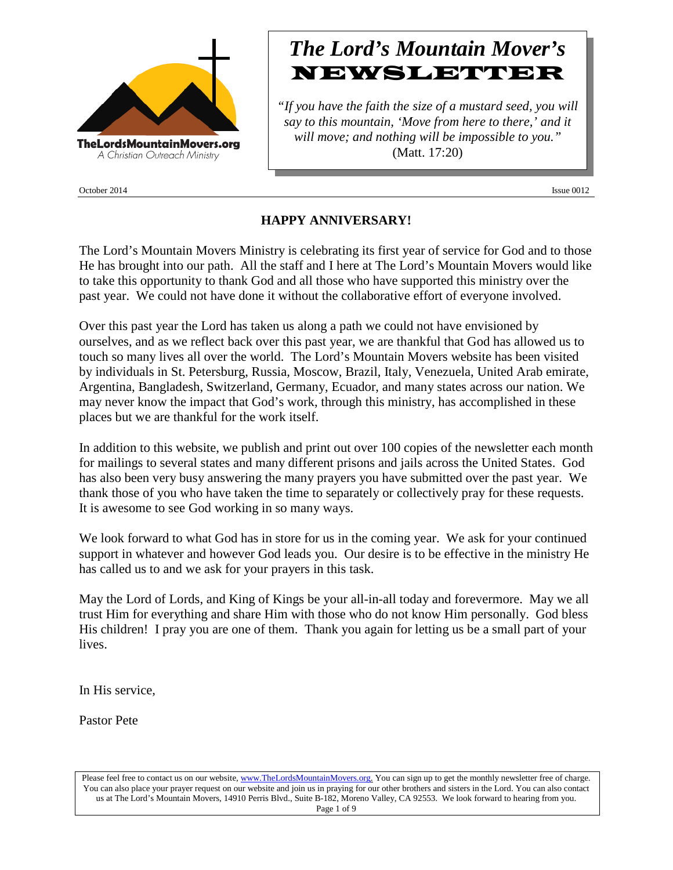

October 2014 **Issue 0012** 

# *The Lord's Mountain Mover's* **NEWSLETTER**

*"If you have the faith the size of a mustard seed, you will say to this mountain, 'Move from here to there,' and it will move; and nothing will be impossible to you."* (Matt. 17:20)

## **HAPPY ANNIVERSARY!**

The Lord's Mountain Movers Ministry is celebrating its first year of service for God and to those He has brought into our path. All the staff and I here at The Lord's Mountain Movers would like to take this opportunity to thank God and all those who have supported this ministry over the past year. We could not have done it without the collaborative effort of everyone involved.

Over this past year the Lord has taken us along a path we could not have envisioned by ourselves, and as we reflect back over this past year, we are thankful that God has allowed us to touch so many lives all over the world. The Lord's Mountain Movers website has been visited by individuals in St. Petersburg, Russia, Moscow, Brazil, Italy, Venezuela, United Arab emirate, Argentina, Bangladesh, Switzerland, Germany, Ecuador, and many states across our nation. We may never know the impact that God's work, through this ministry, has accomplished in these places but we are thankful for the work itself.

In addition to this website, we publish and print out over 100 copies of the newsletter each month for mailings to several states and many different prisons and jails across the United States. God has also been very busy answering the many prayers you have submitted over the past year. We thank those of you who have taken the time to separately or collectively pray for these requests. It is awesome to see God working in so many ways.

We look forward to what God has in store for us in the coming year. We ask for your continued support in whatever and however God leads you. Our desire is to be effective in the ministry He has called us to and we ask for your prayers in this task.

May the Lord of Lords, and King of Kings be your all-in-all today and forevermore. May we all trust Him for everything and share Him with those who do not know Him personally. God bless His children! I pray you are one of them. Thank you again for letting us be a small part of your lives.

In His service,

Pastor Pete

Please feel free to contact us on our website, ww[w.TheLordsMountainMovers.o](http://www.thelordsmountainmovers.org/)rg. You can sign up to get the monthly newsletter free of charge. You can also place your prayer request on our website and join us in praying for our other brothers and sisters in the Lord. You can also contact us at The Lord's Mountain Movers, 14910 Perris Blvd., Suite B-182, Moreno Valley, CA 92553. We look forward to hearing from you. Page 1 of 9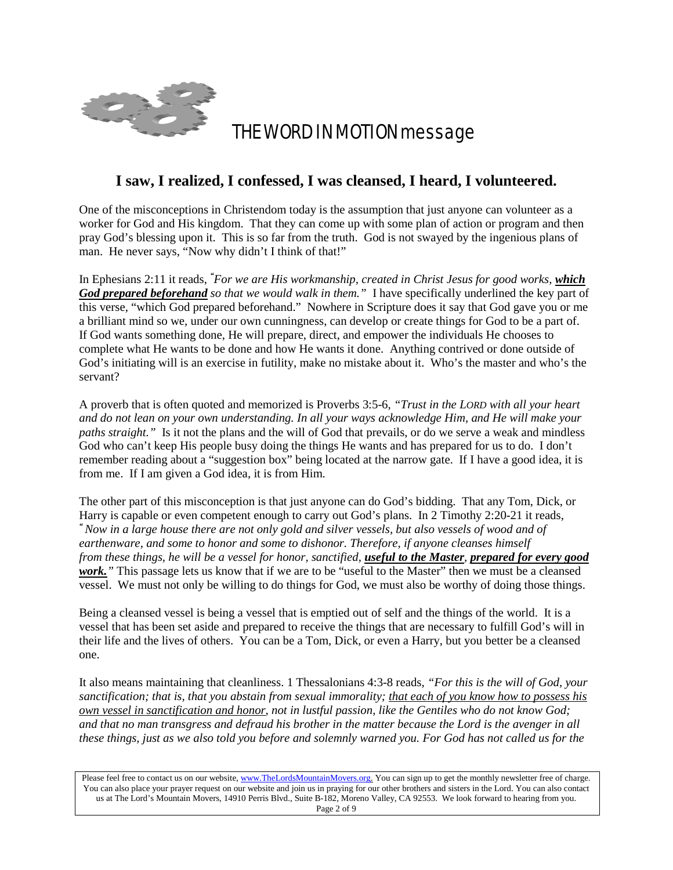

# THE WORD IN MOTION message

## **I saw, I realized, I confessed, I was cleansed, I heard, I volunteered.**

One of the misconceptions in Christendom today is the assumption that just anyone can volunteer as a worker for God and His kingdom. That they can come up with some plan of action or program and then pray God's blessing upon it. This is so far from the truth. God is not swayed by the ingenious plans of man. He never says, "Now why didn't I think of that!"

In Ephesians 2:11 it reads, *" For we are His workmanship, created in Christ Jesus for good works, which God prepared beforehand so that we would walk in them."* I have specifically underlined the key part of this verse, "which God prepared beforehand." Nowhere in Scripture does it say that God gave you or me a brilliant mind so we, under our own cunningness, can develop or create things for God to be a part of. If God wants something done, He will prepare, direct, and empower the individuals He chooses to complete what He wants to be done and how He wants it done. Anything contrived or done outside of God's initiating will is an exercise in futility, make no mistake about it. Who's the master and who's the servant?

A proverb that is often quoted and memorized is Proverbs 3:5-6, *"Trust in the LORD with all your heart and do not lean on your own understanding. In all your ways acknowledge Him, and He will make your paths straight."* Is it not the plans and the will of God that prevails, or do we serve a weak and mindless God who can't keep His people busy doing the things He wants and has prepared for us to do. I don't remember reading about a "suggestion box" being located at the narrow gate. If I have a good idea, it is from me. If I am given a God idea, it is from Him.

The other part of this misconception is that just anyone can do God's bidding. That any Tom, Dick, or Harry is capable or even competent enough to carry out God's plans. In 2 Timothy 2:20-21 it reads,

*"Now in a large house there are not only gold and silver vessels, but also vessels of wood and of earthenware, and some to honor and some to dishonor. Therefore, if anyone cleanses himself from these things, he will be a vessel for honor, sanctified, useful to the Master, prepared for every good work."* This passage lets us know that if we are to be "useful to the Master" then we must be a cleansed vessel. We must not only be willing to do things for God, we must also be worthy of doing those things.

Being a cleansed vessel is being a vessel that is emptied out of self and the things of the world. It is a vessel that has been set aside and prepared to receive the things that are necessary to fulfill God's will in their life and the lives of others. You can be a Tom, Dick, or even a Harry, but you better be a cleansed one.

It also means maintaining that cleanliness. 1 Thessalonians 4:3-8 reads, *"For this is the will of God, your sanctification; that is, that you abstain from sexual immorality; that each of you know how to possess his own vessel in sanctification and honor, not in lustful passion, like the Gentiles who do not know God; and that no man transgress and defraud his brother in the matter because the Lord is the avenger in all these things, just as we also told you before and solemnly warned you. For God has not called us for the* 

Please feel free to contact us on our website, ww[w.TheLordsMountainMovers.o](http://www.thelordsmountainmovers.org/)rg. You can sign up to get the monthly newsletter free of charge. You can also place your prayer request on our website and join us in praying for our other brothers and sisters in the Lord. You can also contact us at The Lord's Mountain Movers, 14910 Perris Blvd., Suite B-182, Moreno Valley, CA 92553. We look forward to hearing from you. Page 2 of 9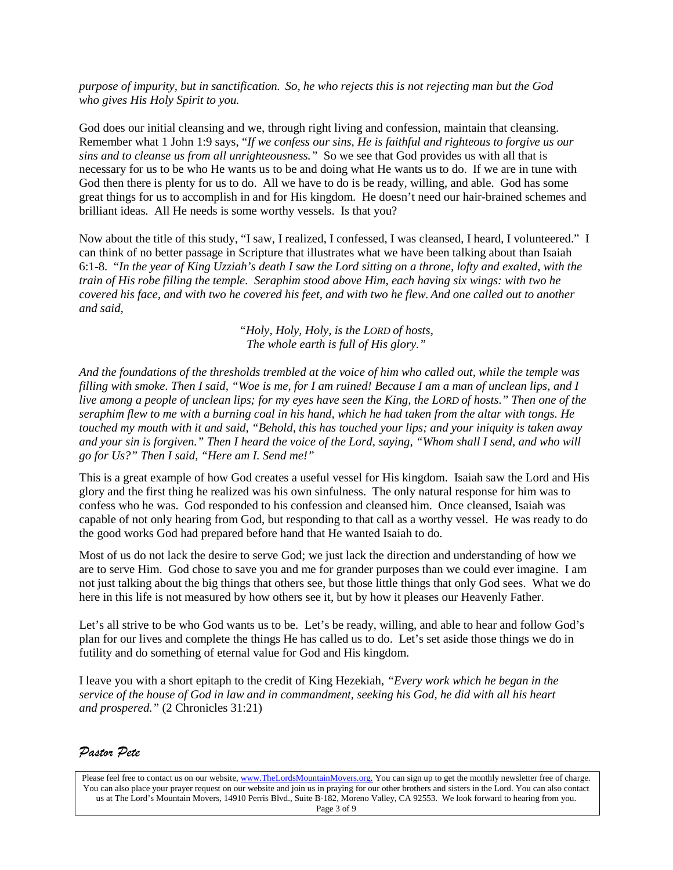*purpose of impurity, but in sanctification. So, he who rejects this is not rejecting man but the God who gives His Holy Spirit to you.*

God does our initial cleansing and we, through right living and confession, maintain that cleansing. Remember what 1 John 1:9 says, "*If we confess our sins, He is faithful and righteous to forgive us our sins and to cleanse us from all unrighteousness."* So we see that God provides us with all that is necessary for us to be who He wants us to be and doing what He wants us to do. If we are in tune with God then there is plenty for us to do. All we have to do is be ready, willing, and able. God has some great things for us to accomplish in and for His kingdom. He doesn't need our hair-brained schemes and brilliant ideas. All He needs is some worthy vessels. Is that you?

Now about the title of this study, "I saw, I realized, I confessed, I was cleansed, I heard, I volunteered." I can think of no better passage in Scripture that illustrates what we have been talking about than Isaiah 6:1-8. "*In the year of King Uzziah's death I saw the Lord sitting on a throne, lofty and exalted, with the train of His robe filling the temple. Seraphim stood above Him, each having six wings: with two he covered his face, and with two he covered his feet, and with two he flew. And one called out to another and said,*

> *"Holy, Holy, Holy, is the LORD of hosts, The whole earth is full of His glory."*

*And the foundations of the thresholds trembled at the voice of him who called out, while the temple was filling with smoke. Then I said, "Woe is me, for I am ruined! Because I am a man of unclean lips, and I live among a people of unclean lips; for my eyes have seen the King, the LORD of hosts." Then one of the seraphim flew to me with a burning coal in his hand, which he had taken from the altar with tongs. He touched my mouth with it and said, "Behold, this has touched your lips; and your iniquity is taken away and your sin is forgiven." Then I heard the voice of the Lord, saying, "Whom shall I send, and who will go for Us?" Then I said, "Here am I. Send me!"*

This is a great example of how God creates a useful vessel for His kingdom. Isaiah saw the Lord and His glory and the first thing he realized was his own sinfulness. The only natural response for him was to confess who he was. God responded to his confession and cleansed him. Once cleansed, Isaiah was capable of not only hearing from God, but responding to that call as a worthy vessel. He was ready to do the good works God had prepared before hand that He wanted Isaiah to do.

Most of us do not lack the desire to serve God; we just lack the direction and understanding of how we are to serve Him. God chose to save you and me for grander purposes than we could ever imagine. I am not just talking about the big things that others see, but those little things that only God sees. What we do here in this life is not measured by how others see it, but by how it pleases our Heavenly Father.

Let's all strive to be who God wants us to be. Let's be ready, willing, and able to hear and follow God's plan for our lives and complete the things He has called us to do. Let's set aside those things we do in futility and do something of eternal value for God and His kingdom.

I leave you with a short epitaph to the credit of King Hezekiah, *"Every work which he began in the service of the house of God in law and in commandment, seeking his God, he did with all his heart and prospered."* (2 Chronicles 31:21)

### *Pastor Pete*

Please feel free to contact us on our website, ww[w.TheLordsMountainMovers.o](http://www.thelordsmountainmovers.org/)rg. You can sign up to get the monthly newsletter free of charge. You can also place your prayer request on our website and join us in praying for our other brothers and sisters in the Lord. You can also contact us at The Lord's Mountain Movers, 14910 Perris Blvd., Suite B-182, Moreno Valley, CA 92553. We look forward to hearing from you. Page 3 of 9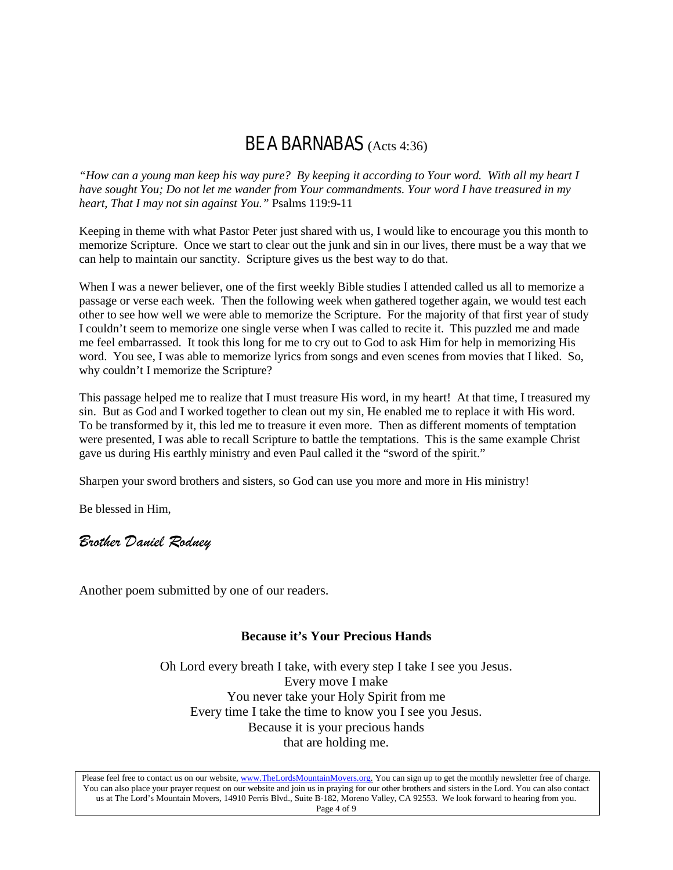## BE A BARNABAS (Acts 4:36)

*"How can a young man keep his way pure? By keeping it according to Your word. With all my heart I have sought You; Do not let me wander from Your commandments. Your word I have treasured in my heart, That I may not sin against You."* Psalms 119:9-11

Keeping in theme with what Pastor Peter just shared with us, I would like to encourage you this month to memorize Scripture. Once we start to clear out the junk and sin in our lives, there must be a way that we can help to maintain our sanctity. Scripture gives us the best way to do that.

When I was a newer believer, one of the first weekly Bible studies I attended called us all to memorize a passage or verse each week. Then the following week when gathered together again, we would test each other to see how well we were able to memorize the Scripture. For the majority of that first year of study I couldn't seem to memorize one single verse when I was called to recite it. This puzzled me and made me feel embarrassed. It took this long for me to cry out to God to ask Him for help in memorizing His word. You see, I was able to memorize lyrics from songs and even scenes from movies that I liked. So, why couldn't I memorize the Scripture?

This passage helped me to realize that I must treasure His word, in my heart! At that time, I treasured my sin. But as God and I worked together to clean out my sin, He enabled me to replace it with His word. To be transformed by it, this led me to treasure it even more. Then as different moments of temptation were presented, I was able to recall Scripture to battle the temptations. This is the same example Christ gave us during His earthly ministry and even Paul called it the "sword of the spirit."

Sharpen your sword brothers and sisters, so God can use you more and more in His ministry!

Be blessed in Him,

### *Brother Daniel Rodney*

Another poem submitted by one of our readers.

### **Because it's Your Precious Hands**

Oh Lord every breath I take, with every step I take I see you Jesus. Every move I make You never take your Holy Spirit from me Every time I take the time to know you I see you Jesus. Because it is your precious hands that are holding me.

Please feel free to contact us on our website, ww[w.TheLordsMountainMovers.o](http://www.thelordsmountainmovers.org/)rg. You can sign up to get the monthly newsletter free of charge. You can also place your prayer request on our website and join us in praying for our other brothers and sisters in the Lord. You can also contact us at The Lord's Mountain Movers, 14910 Perris Blvd., Suite B-182, Moreno Valley, CA 92553. We look forward to hearing from you. Page 4 of 9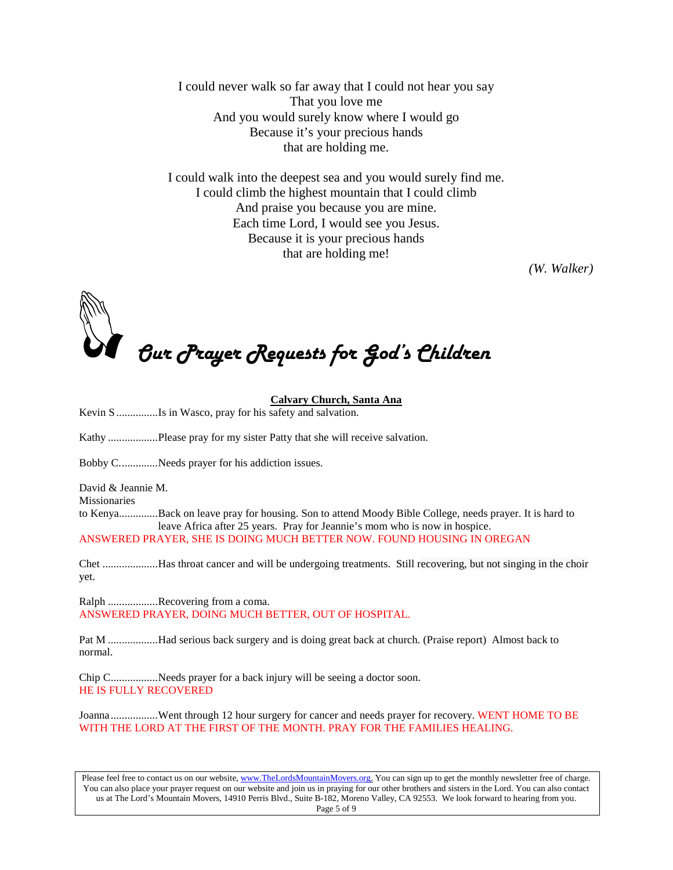I could never walk so far away that I could not hear you say That you love me And you would surely know where I would go Because it's your precious hands that are holding me.

I could walk into the deepest sea and you would surely find me. I could climb the highest mountain that I could climb And praise you because you are mine. Each time Lord, I would see you Jesus. Because it is your precious hands that are holding me!

*(W. Walker)*

Our Prayer Requests for God's Children

#### **Calvary Church, Santa Ana**

Kevin S ...............Is in Wasco, pray for his safety and salvation.

Kathy ..................Please pray for my sister Patty that she will receive salvation.

Bobby C..............Needs prayer for his addiction issues.

David & Jeannie M.

Missionaries

to Kenya..............Back on leave pray for housing. Son to attend Moody Bible College, needs prayer. It is hard to leave Africa after 25 years. Pray for Jeannie's mom who is now in hospice. ANSWERED PRAYER, SHE IS DOING MUCH BETTER NOW. FOUND HOUSING IN OREGAN

Chet ....................Has throat cancer and will be undergoing treatments. Still recovering, but not singing in the choir yet.

Ralph .................Recovering from a coma. ANSWERED PRAYER, DOING MUCH BETTER, OUT OF HOSPITAL.

Pat M ..................Had serious back surgery and is doing great back at church. (Praise report) Almost back to normal.

Chip C.................Needs prayer for a back injury will be seeing a doctor soon. HE IS FULLY RECOVERED

Joanna..................Went through 12 hour surgery for cancer and needs prayer for recovery. WENT HOME TO BE WITH THE LORD AT THE FIRST OF THE MONTH. PRAY FOR THE FAMILIES HEALING.

Please feel free to contact us on our website, ww[w.TheLordsMountainMovers.o](http://www.thelordsmountainmovers.org/)rg. You can sign up to get the monthly newsletter free of charge. You can also place your prayer request on our website and join us in praying for our other brothers and sisters in the Lord. You can also contact us at The Lord's Mountain Movers, 14910 Perris Blvd., Suite B-182, Moreno Valley, CA 92553. We look forward to hearing from you. Page 5 of 9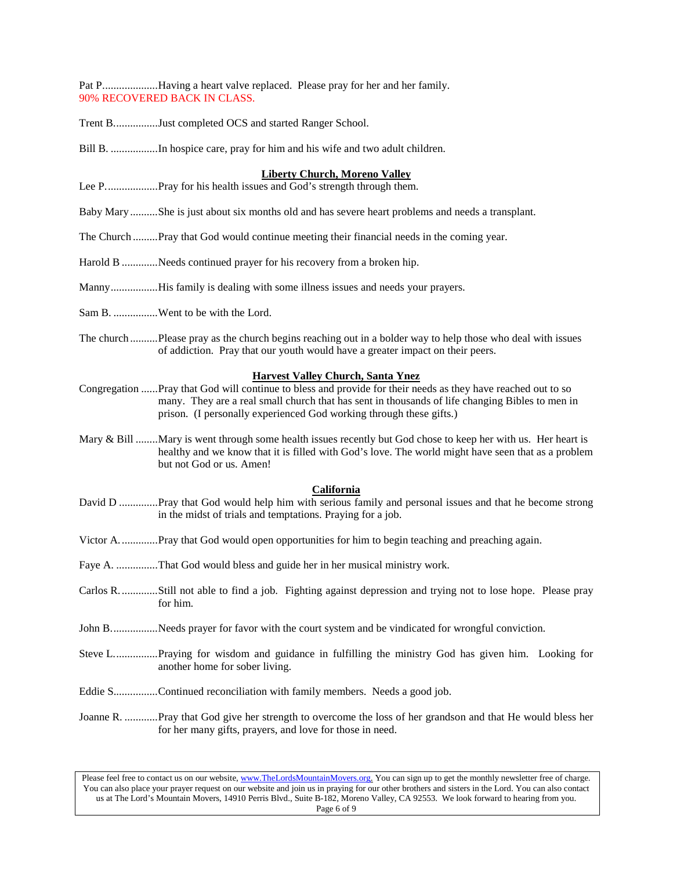Pat P....................Having a heart valve replaced. Please pray for her and her family. 90% RECOVERED BACK IN CLASS.

Trent B................Just completed OCS and started Ranger School.

Bill B. .................In hospice care, pray for him and his wife and two adult children.

#### **Liberty Church, Moreno Valley**

Lee P...................Pray for his health issues and God's strength through them.

Baby Mary..........She is just about six months old and has severe heart problems and needs a transplant.

- The Church .........Pray that God would continue meeting their financial needs in the coming year.
- Harold B .............Needs continued prayer for his recovery from a broken hip.
- Manny.................His family is dealing with some illness issues and needs your prayers.
- Sam B. ...............Went to be with the Lord.
- The church ..........Please pray as the church begins reaching out in a bolder way to help those who deal with issues of addiction. Pray that our youth would have a greater impact on their peers.

#### **Harvest Valley Church, Santa Ynez**

- Congregation ......Pray that God will continue to bless and provide for their needs as they have reached out to so many. They are a real small church that has sent in thousands of life changing Bibles to men in prison. (I personally experienced God working through these gifts.)
- Mary & Bill ........Mary is went through some health issues recently but God chose to keep her with us. Her heart is healthy and we know that it is filled with God's love. The world might have seen that as a problem but not God or us. Amen!

#### **California**

- David D ..............Pray that God would help him with serious family and personal issues and that he become strong in the midst of trials and temptations. Praying for a job.
- Victor A..............Pray that God would open opportunities for him to begin teaching and preaching again.
- Faye A. ...............That God would bless and guide her in her musical ministry work.
- Carlos R..............Still not able to find a job. Fighting against depression and trying not to lose hope. Please pray for him.
- John B..................Needs prayer for favor with the court system and be vindicated for wrongful conviction.
- Steve L................Praying for wisdom and guidance in fulfilling the ministry God has given him. Looking for another home for sober living.
- Eddie S................Continued reconciliation with family members. Needs a good job.
- Joanne R. ............Pray that God give her strength to overcome the loss of her grandson and that He would bless her for her many gifts, prayers, and love for those in need.

Please feel free to contact us on our website, ww[w.TheLordsMountainMovers.o](http://www.thelordsmountainmovers.org/)rg. You can sign up to get the monthly newsletter free of charge. You can also place your prayer request on our website and join us in praying for our other brothers and sisters in the Lord. You can also contact us at The Lord's Mountain Movers, 14910 Perris Blvd., Suite B-182, Moreno Valley, CA 92553. We look forward to hearing from you. Page 6 of 9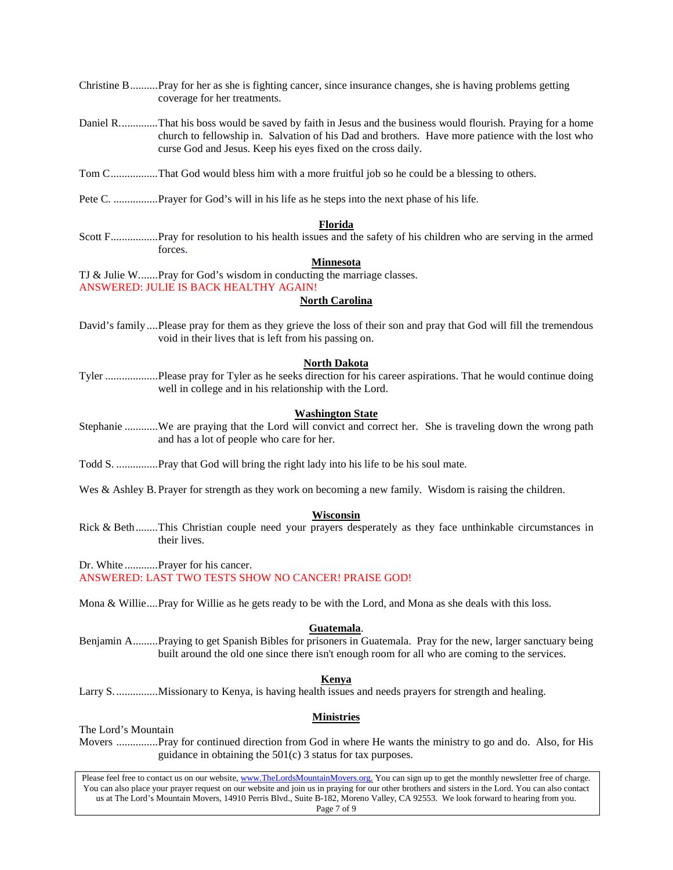- Christine B..........Pray for her as she is fighting cancer, since insurance changes, she is having problems getting coverage for her treatments.
- Daniel R..............That his boss would be saved by faith in Jesus and the business would flourish. Praying for a home church to fellowship in. Salvation of his Dad and brothers. Have more patience with the lost who curse God and Jesus. Keep his eyes fixed on the cross daily.
- Tom C.................That God would bless him with a more fruitful job so he could be a blessing to others.
- Pete C. ................Prayer for God's will in his life as he steps into the next phase of his life.

#### **Florida**

Scott F.................Pray for resolution to his health issues and the safety of his children who are serving in the armed forces.

#### **Minnesota**

TJ & Julie W.......Pray for God's wisdom in conducting the marriage classes.

ANSWERED: JULIE IS BACK HEALTHY AGAIN!

#### **North Carolina**

David's family ....Please pray for them as they grieve the loss of their son and pray that God will fill the tremendous void in their lives that is left from his passing on.

#### **North Dakota**

Tyler ...................Please pray for Tyler as he seeks direction for his career aspirations. That he would continue doing well in college and in his relationship with the Lord.

#### **Washington State**

- Stephanie ............We are praying that the Lord will convict and correct her. She is traveling down the wrong path and has a lot of people who care for her.
- Todd S. ...............Pray that God will bring the right lady into his life to be his soul mate.
- Wes & Ashley B. Prayer for strength as they work on becoming a new family. Wisdom is raising the children.

#### **Wisconsin**

Rick & Beth........This Christian couple need your prayers desperately as they face unthinkable circumstances in their lives.

Dr. White ............Prayer for his cancer.

ANSWERED: LAST TWO TESTS SHOW NO CANCER! PRAISE GOD!

Mona & Willie....Pray for Willie as he gets ready to be with the Lord, and Mona as she deals with this loss.

#### **Guatemala**.

Benjamin A.........Praying to get Spanish Bibles for prisoners in Guatemala. Pray for the new, larger sanctuary being built around the old one since there isn't enough room for all who are coming to the services.

#### **Kenya**

Larry S................Missionary to Kenya, is having health issues and needs prayers for strength and healing.

#### **Ministries**

The Lord's Mountain

Movers ...............Pray for continued direction from God in where He wants the ministry to go and do. Also, for His guidance in obtaining the 501(c) 3 status for tax purposes.

Please feel free to contact us on our website, ww[w.TheLordsMountainMovers.o](http://www.thelordsmountainmovers.org/)rg. You can sign up to get the monthly newsletter free of charge. You can also place your prayer request on our website and join us in praying for our other brothers and sisters in the Lord. You can also contact us at The Lord's Mountain Movers, 14910 Perris Blvd., Suite B-182, Moreno Valley, CA 92553. We look forward to hearing from you. Page 7 of 9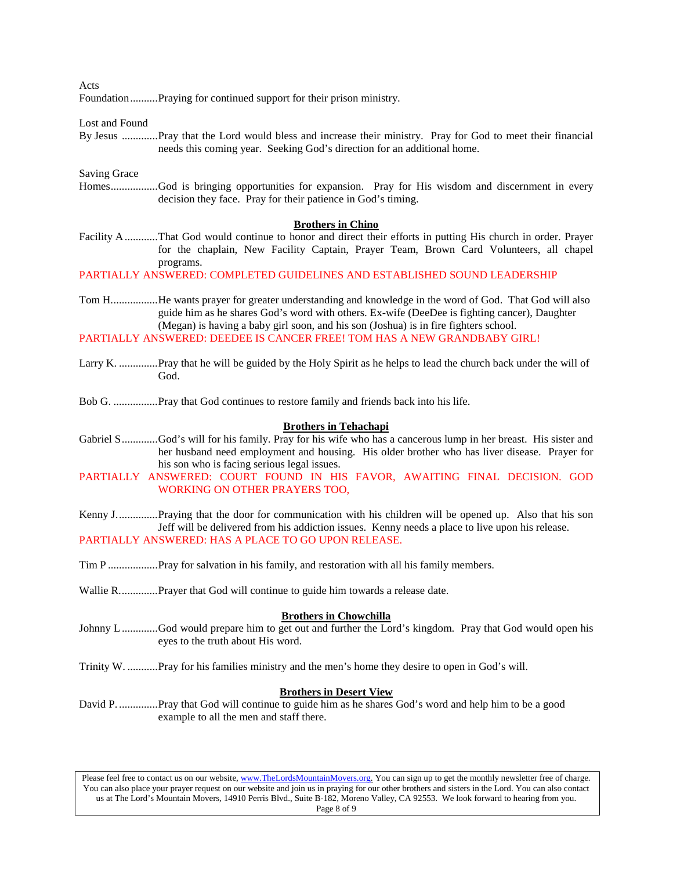Acts

Foundation..........Praying for continued support for their prison ministry.

Lost and Found

By Jesus .............Pray that the Lord would bless and increase their ministry. Pray for God to meet their financial needs this coming year. Seeking God's direction for an additional home.

#### Saving Grace

Homes.................God is bringing opportunities for expansion. Pray for His wisdom and discernment in every decision they face. Pray for their patience in God's timing.

#### **Brothers in Chino**

Facility A............That God would continue to honor and direct their efforts in putting His church in order. Prayer for the chaplain, New Facility Captain, Prayer Team, Brown Card Volunteers, all chapel programs.

PARTIALLY ANSWERED: COMPLETED GUIDELINES AND ESTABLISHED SOUND LEADERSHIP

Tom H.................He wants prayer for greater understanding and knowledge in the word of God. That God will also guide him as he shares God's word with others. Ex-wife (DeeDee is fighting cancer), Daughter (Megan) is having a baby girl soon, and his son (Joshua) is in fire fighters school.

PARTIALLY ANSWERED: DEEDEE IS CANCER FREE! TOM HAS A NEW GRANDBABY GIRL!

Larry K. ..............Pray that he will be guided by the Holy Spirit as he helps to lead the church back under the will of God.

Bob G. ................Pray that God continues to restore family and friends back into his life.

#### **Brothers in Tehachapi**

- Gabriel S.............God's will for his family. Pray for his wife who has a cancerous lump in her breast. His sister and her husband need employment and housing. His older brother who has liver disease. Prayer for his son who is facing serious legal issues.
- PARTIALLY ANSWERED: COURT FOUND IN HIS FAVOR, AWAITING FINAL DECISION. GOD WORKING ON OTHER PRAYERS TOO,
- Kenny J...............Praying that the door for communication with his children will be opened up. Also that his son Jeff will be delivered from his addiction issues. Kenny needs a place to live upon his release. PARTIALLY ANSWERED: HAS A PLACE TO GO UPON RELEASE.

Tim P ..................Pray for salvation in his family, and restoration with all his family members.

Wallie R..............Prayer that God will continue to guide him towards a release date.

#### **Brothers in Chowchilla**

- Johnny L.............God would prepare him to get out and further the Lord's kingdom. Pray that God would open his eyes to the truth about His word.
- Trinity W. ...........Pray for his families ministry and the men's home they desire to open in God's will.

#### **Brothers in Desert View**

David P. ..............Pray that God will continue to guide him as he shares God's word and help him to be a good example to all the men and staff there.

Please feel free to contact us on our website, ww[w.TheLordsMountainMovers.o](http://www.thelordsmountainmovers.org/)rg. You can sign up to get the monthly newsletter free of charge. You can also place your prayer request on our website and join us in praying for our other brothers and sisters in the Lord. You can also contact us at The Lord's Mountain Movers, 14910 Perris Blvd., Suite B-182, Moreno Valley, CA 92553. We look forward to hearing from you. Page 8 of 9